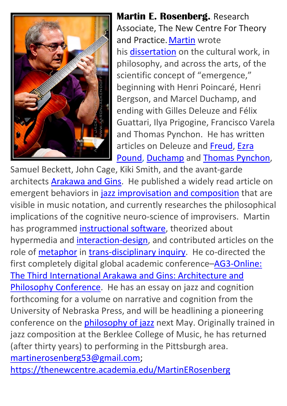

**Martin E. Rosenberg.**. Research Associate, The New Centre For Theory and Practice. [Martin](http://independent.academia.edu/martinerosenberg) wrote his [dissertation](http://www.worldcat.org/title/being-and-becoming-physics-hegemony-art-and-the-nomad-in-the-works-of-ezra-pound-marcel-duchamp-samuel-beckett-john-cage-and-thomas-pynchon/oclc/068790112) on the cultural work, in philosophy, and across the arts, of the scientific concept of "emergence," beginning with Henri Poincaré, Henri Bergson, and Marcel Duchamp, and ending with Gilles Deleuze and Félix Guattari, Ilya Prigogine, Francisco Varela and Thomas Pynchon. He has written articles on Deleuze and [Freud,](http://muse.jhu.edu/login?auth=0&type=summary&url=/journals/postmodern_culture/v004/4.1rosenberg.html) [Ezra](http://www.academia.edu/428722/_Poet_as_Scapegoat--Poet_as_Strange_Attractor_Control_and_Complexity_in_the_Pisan_Cantos_1990_1994_2002_) [Pound,](http://www.academia.edu/428722/_Poet_as_Scapegoat--Poet_as_Strange_Attractor_Control_and_Complexity_in_the_Pisan_Cantos_1990_1994_2002_) [Duchamp](http://www.academia.edu/234090/_Invisibility_The_War_Machine_and_Prigogine_Physics_Philosophy_and_the_Threshold_of_Historical_Consciousness_in_Pynchons_Zone._) and Thomas [Pynchon,](http://www.academia.edu/235684/_Portals_in_Duchamp_and_Pynchon_--Text_Only)

Samuel Beckett, John Cage, Kiki Smith, and the avant-garde architects [Arakawa](http://college.holycross.edu/interfaces/vol21-22_articles/construct_autopoiesis.pdf) and Gins. He published a widely read article on emergent behaviors in jazz [improvisation](http://www.senselab.ca/inflexions/volume_4/n4_rosenberghtml.html) and composition that are visible in music notation, and currently researches the philosophical implications of the cognitive neuro-science of improvisers. Martin has programmed [instructional](http://www.academia.edu/1533757/The_RHIZOME_Project) software, theorized about hypermedia and [interaction-design,](http://www.interaction-design.org/references/authors/martin_e_rosenberg.html) and contributed articles on the role of **metaphor** in [trans-disciplinary](http://www.academia.edu/234087/_Chess_RHIZOME_and_Phase_Space_Mapping_Metaphor_Theory_Onto_Hypertext_Theory) inquiry. He co-directed the first completely digital global academic conference-AG3-Online: The Third [International](http://www.reversibledestiny.org/ag3-online-the-third-international-arakawa-and-gins-architecture-and-philosophy-conference/) Arakawa and Gins: Architecture and Philosophy [Conference.](http://www.reversibledestiny.org/ag3-online-the-third-international-arakawa-and-gins-architecture-and-philosophy-conference/) He has an essay on jazz and cognition forthcoming for a volume on narrative and cognition from the University of Nebraska Press, and will be headlining a pioneering conference on the *philosophy of jazz* next May. Originally trained in jazz composition at the Berklee College of Music, he has returned (after thirty years) to performing in the Pittsburgh area. [martinerosenberg53@gmail.com;](mailto:martinerosenberg53@gmail.com)

<https://thenewcentre.academia.edu/MartinERosenberg>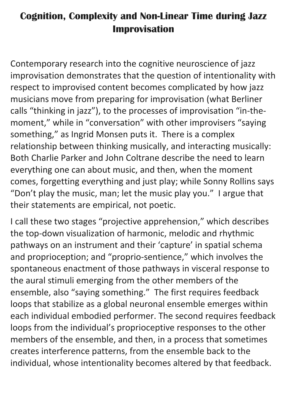## **Cognition, Complexity and Non-Linear Time during Jazz Improvisation**

Contemporary research into the cognitive neuroscience of jazz improvisation demonstrates that the question of intentionality with respect to improvised content becomes complicated by how jazz musicians move from preparing for improvisation (what Berliner calls "thinking in jazz"), to the processes of improvisation "in-themoment," while in "conversation" with other improvisers "saying something," as Ingrid Monsen puts it. There is a complex relationship between thinking musically, and interacting musically: Both Charlie Parker and John Coltrane describe the need to learn everything one can about music, and then, when the moment comes, forgetting everything and just play; while Sonny Rollins says "Don't play the music, man; let the music play you." I argue that their statements are empirical, not poetic.

I call these two stages "projective apprehension," which describes the top-down visualization of harmonic, melodic and rhythmic pathways on an instrument and their 'capture' in spatial schema and proprioception; and "proprio-sentience," which involves the spontaneous enactment of those pathways in visceral response to the aural stimuli emerging from the other members of the ensemble, also "saying something." The first requires feedback loops that stabilize as a global neuronal ensemble emerges within each individual embodied performer. The second requires feedback loops from the individual's proprioceptive responses to the other members of the ensemble, and then, in a process that sometimes creates interference patterns, from the ensemble back to the individual, whose intentionality becomes altered by that feedback.